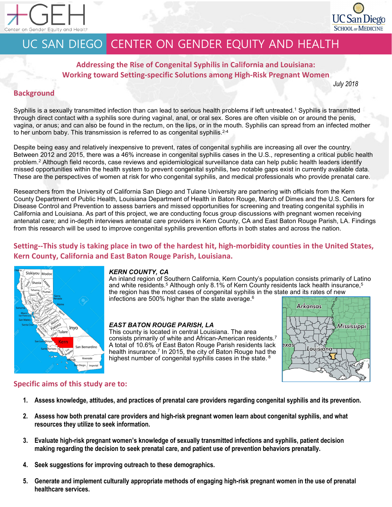



# UC SAN DIEGO CENTER ON GENDER EQUITY AND HEALTH

**Addressing the Rise of Congenital Syphilis in California and Louisiana: Working toward Setting-specific Solutions among High-Risk Pregnant Women**

#### *July 2018*

# **Background**

Syphilis is a sexually transmitted infection than can lead to serious health problems if left untreated.<sup>1</sup> Syphilis is transmitted through direct contact with a syphilis sore during vaginal, anal, or oral sex. Sores are often visible on or around the penis, vagina, or anus; and can also be found in the rectum, on the lips, or in the mouth. Syphilis can spread from an infected mother to her unborn baby. This transmission is referred to as congenital syphilis.<sup>2-4</sup>

Despite being easy and relatively inexpensive to prevent, rates of congenital syphilis are increasing all over the country. Between 2012 and 2015, there was a 46% increase in congenital syphilis cases in the U.S., representing a critical public health problem.2 Although field records, case reviews and epidemiological surveillance data can help public health leaders identify missed opportunities within the health system to prevent congenital syphilis, two notable gaps exist in currently available data. These are the perspectives of women at risk for who congenital syphilis, and medical professionals who provide prenatal care.

Researchers from the University of California San Diego and Tulane University are partnering with officials from the Kern County Department of Public Health, Louisiana Department of Health in Baton Rouge, March of Dimes and the U.S. Centers for Disease Control and Prevention to assess barriers and missed opportunities for screening and treating congenital syphilis in California and Louisiana. As part of this project, we are conducting focus group discussions with pregnant women receiving antenatal care; and in-depth interviews antenatal care providers in Kern County, CA and East Baton Rouge Parish, LA. Findings from this research will be used to improve congenital syphilis prevention efforts in both states and across the nation.

# **Setting--This study is taking place in two of the hardest hit, high-morbidity counties in the United States, Kern County, California and East Baton Rouge Parish, Louisiana.**



### *KERN COUNTY, CA*

An inland region of Southern California, Kern County's population consists primarily of Latino and white residents. $^5$  Although only 8.1% of Kern County residents lack health insurance, $^5$ the region has the most cases of congenital syphilis in the state and its rates of new infections are 500% higher than the state average.6

### *EAST BATON ROUGE PARISH, LA*

This county is located in central Louisiana. The area consists primarily of white and African-American residents.7 A total of 10.6% of East Baton Rouge Parish residents lack health insurance.<sup>7</sup> In 2015, the city of Baton Rouge had the highest number of congenital syphilis cases in the state. <sup>8</sup>



# **Specific aims of this study are to:**

- **1. Assess knowledge, attitudes, and practices of prenatal care providers regarding congenital syphilis and its prevention.**
- **2. Assess how both prenatal care providers and high-risk pregnant women learn about congenital syphilis, and what resources they utilize to seek information.**
- **3. Evaluate high-risk pregnant women's knowledge of sexually transmitted infections and syphilis, patient decision making regarding the decision to seek prenatal care, and patient use of prevention behaviors prenatally.**
- **4. Seek suggestions for improving outreach to these demographics.**
- **5. Generate and implement culturally appropriate methods of engaging high-risk pregnant women in the use of prenatal healthcare services.**